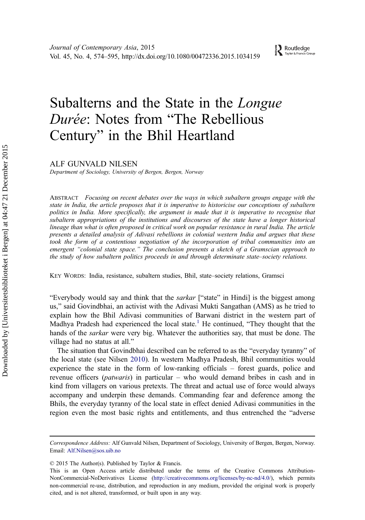$\sum_{\text{Taylor & Francis Group}}$ 

# Subalterns and the State in the Longue Durée: Notes from "The Rebellious Century" in the Bhil Heartland

ALF GUNVALD NILSEN

Department of Sociology, University of Bergen, Bergen, Norway

ABSTRACT Focusing on recent debates over the ways in which subaltern groups engage with the state in India, the article proposes that it is imperative to historicise our conceptions of subaltern politics in India. More specifically, the argument is made that it is imperative to recognise that subaltern appropriations of the institutions and discourses of the state have a longer historical lineage than what is often proposed in critical work on popular resistance in rural India. The article presents a detailed analysis of Adivasi rebellions in colonial western India and argues that these took the form of a contentious negotiation of the incorporation of tribal communities into an emergent "colonial state space." The conclusion presents a sketch of a Gramscian approach to the study of how subaltern politics proceeds in and through determinate state–society relations.

KEY WORDS: India, resistance, subaltern studies, Bhil, state–society relations, Gramsci

"Everybody would say and think that the *sarkar* ["state" in Hindi] is the biggest among us," said Govindbhai, an activist with the Adivasi Mukti Sangathan (AMS) as he tried to explain how the Bhil Adivasi communities of Barwani district in the western part of Madhya Pradesh had experienced the local state.<sup>[1](#page-19-0)</sup> He continued, "They thought that the hands of the *sarkar* were very big. Whatever the authorities say, that must be done. The village had no status at all."

The situation that Govindbhai described can be referred to as the "everyday tyranny" of the local state (see Nilsen [2010](#page-21-0)). In western Madhya Pradesh, Bhil communities would experience the state in the form of low-ranking officials – forest guards, police and revenue officers (*patwaris*) in particular – who would demand bribes in cash and in kind from villagers on various pretexts. The threat and actual use of force would always accompany and underpin these demands. Commanding fear and deference among the Bhils, the everyday tyranny of the local state in effect denied Adivasi communities in the region even the most basic rights and entitlements, and thus entrenched the "adverse

© 2015 The Author(s). Published by Taylor & Francis.

Correspondence Address: Alf Gunvald Nilsen, Department of Sociology, University of Bergen, Bergen, Norway. Email: Alf.Nilsen@sos.uib.no

This is an Open Access article distributed under the terms of the Creative Commons Attribution-NonCommercial-NoDerivatives License (http://creativecommons.org/licenses/by-nc-nd/4.0/), which permits non-commercial re-use, distribution, and reproduction in any medium, provided the original work is properly cited, and is not altered, transformed, or built upon in any way.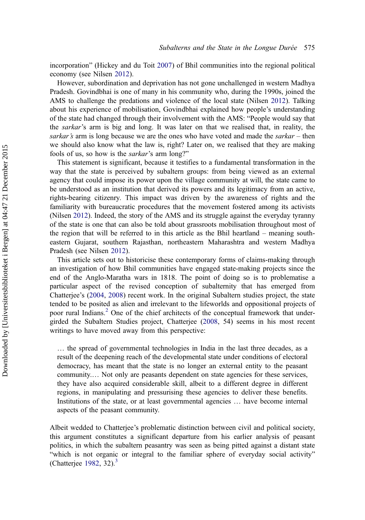incorporation" (Hickey and du Toit [2007](#page-20-0)) of Bhil communities into the regional political economy (see Nilsen [2012](#page-21-0)).

However, subordination and deprivation has not gone unchallenged in western Madhya Pradesh. Govindbhai is one of many in his community who, during the 1990s, joined the AMS to challenge the predations and violence of the local state (Nilsen [2012](#page-21-0)). Talking about his experience of mobilisation, Govindbhai explained how people's understanding of the state had changed through their involvement with the AMS: "People would say that the sarkar's arm is big and long. It was later on that we realised that, in reality, the sarkar's arm is long because we are the ones who have voted and made the sarkar – then we should also know what the law is, right? Later on, we realised that they are making fools of us, so how is the sarkar's arm long?"

This statement is significant, because it testifies to a fundamental transformation in the way that the state is perceived by subaltern groups: from being viewed as an external agency that could impose its power upon the village community at will, the state came to be understood as an institution that derived its powers and its legitimacy from an active, rights-bearing citizenry. This impact was driven by the awareness of rights and the familiarity with bureaucratic procedures that the movement fostered among its activists (Nilsen [2012](#page-21-0)). Indeed, the story of the AMS and its struggle against the everyday tyranny of the state is one that can also be told about grassroots mobilisation throughout most of the region that will be referred to in this article as the Bhil heartland – meaning southeastern Gujarat, southern Rajasthan, northeastern Maharashtra and western Madhya Pradesh (see Nilsen [2012\)](#page-21-0).

This article sets out to historicise these contemporary forms of claims-making through an investigation of how Bhil communities have engaged state-making projects since the end of the Anglo-Maratha wars in 1818. The point of doing so is to problematise a particular aspect of the revised conception of subalternity that has emerged from Chatterjee's ([2004,](#page-20-0) [2008\)](#page-20-0) recent work. In the original Subaltern studies project, the state tended to be posited as alien and irrelevant to the lifeworlds and oppositional projects of poor rural Indians.[2](#page-19-0) One of the chief architects of the conceptual framework that undergirded the Subaltern Studies project, Chatterjee [\(2008](#page-20-0), 54) seems in his most recent writings to have moved away from this perspective:

… the spread of governmental technologies in India in the last three decades, as a result of the deepening reach of the developmental state under conditions of electoral democracy, has meant that the state is no longer an external entity to the peasant community.… Not only are peasants dependent on state agencies for these services, they have also acquired considerable skill, albeit to a different degree in different regions, in manipulating and pressurising these agencies to deliver these benefits. Institutions of the state, or at least governmental agencies … have become internal aspects of the peasant community.

Albeit wedded to Chatterjee's problematic distinction between civil and political society, this argument constitutes a significant departure from his earlier analysis of peasant politics, in which the subaltern peasantry was seen as being pitted against a distant state "which is not organic or integral to the familiar sphere of everyday social activity" (Chatterjee [1982](#page-20-0), [3](#page-19-0)2). $3$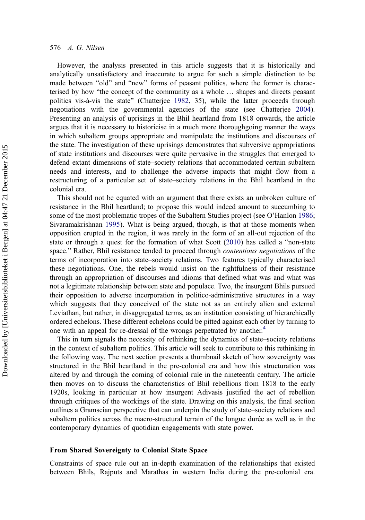## 576 A. G. Nilsen

However, the analysis presented in this article suggests that it is historically and analytically unsatisfactory and inaccurate to argue for such a simple distinction to be made between "old" and "new" forms of peasant politics, where the former is characterised by how "the concept of the community as a whole … shapes and directs peasant politics vis-à-vis the state" (Chatterjee [1982](#page-20-0), 35), while the latter proceeds through negotiations with the governmental agencies of the state (see Chatterjee [2004](#page-20-0)). Presenting an analysis of uprisings in the Bhil heartland from 1818 onwards, the article argues that it is necessary to historicise in a much more thoroughgoing manner the ways in which subaltern groups appropriate and manipulate the institutions and discourses of the state. The investigation of these uprisings demonstrates that subversive appropriations of state institutions and discourses were quite pervasive in the struggles that emerged to defend extant dimensions of state–society relations that accommodated certain subaltern needs and interests, and to challenge the adverse impacts that might flow from a restructuring of a particular set of state–society relations in the Bhil heartland in the colonial era.

This should not be equated with an argument that there exists an unbroken culture of resistance in the Bhil heartland; to propose this would indeed amount to succumbing to some of the most problematic tropes of the Subaltern Studies project (see O'Hanlon [1986](#page-21-0); Sivaramakrishnan [1995](#page-21-0)). What is being argued, though, is that at those moments when opposition erupted in the region, it was rarely in the form of an all-out rejection of the state or through a quest for the formation of what Scott ([2010\)](#page-21-0) has called a "non-state space." Rather, Bhil resistance tended to proceed through *contentious negotiations* of the terms of incorporation into state–society relations. Two features typically characterised these negotiations. One, the rebels would insist on the rightfulness of their resistance through an appropriation of discourses and idioms that defined what was and what was not a legitimate relationship between state and populace. Two, the insurgent Bhils pursued their opposition to adverse incorporation in politico-administrative structures in a way which suggests that they conceived of the state not as an entirely alien and external Leviathan, but rather, in disaggregated terms, as an institution consisting of hierarchically ordered echelons. These different echelons could be pitted against each other by turning to one with an appeal for re-dressal of the wrongs perpetrated by another.<sup>[4](#page-19-0)</sup>

This in turn signals the necessity of rethinking the dynamics of state–society relations in the context of subaltern politics. This article will seek to contribute to this rethinking in the following way. The next section presents a thumbnail sketch of how sovereignty was structured in the Bhil heartland in the pre-colonial era and how this structuration was altered by and through the coming of colonial rule in the nineteenth century. The article then moves on to discuss the characteristics of Bhil rebellions from 1818 to the early 1920s, looking in particular at how insurgent Adivasis justified the act of rebellion through critiques of the workings of the state. Drawing on this analysis, the final section outlines a Gramscian perspective that can underpin the study of state–society relations and subaltern politics across the macro-structural terrain of the longue durée as well as in the contemporary dynamics of quotidian engagements with state power.

#### From Shared Sovereignty to Colonial State Space

Constraints of space rule out an in-depth examination of the relationships that existed between Bhils, Rajputs and Marathas in western India during the pre-colonial era.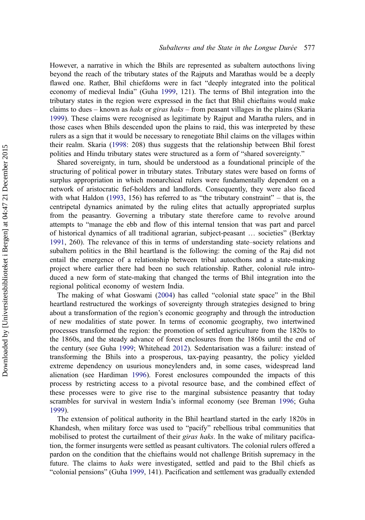However, a narrative in which the Bhils are represented as subaltern autocthons living beyond the reach of the tributary states of the Rajputs and Marathas would be a deeply flawed one. Rather, Bhil chiefdoms were in fact "deeply integrated into the political economy of medieval India" (Guha [1999,](#page-20-0) 121). The terms of Bhil integration into the tributary states in the region were expressed in the fact that Bhil chieftains would make claims to dues – known as *haks* or *giras haks* – from peasant villages in the plains (Skaria [1999](#page-21-0)). These claims were recognised as legitimate by Rajput and Maratha rulers, and in those cases when Bhils descended upon the plains to raid, this was interpreted by these rulers as a sign that it would be necessary to renegotiate Bhil claims on the villages within their realm. Skaria [\(1998](#page-21-0): 208) thus suggests that the relationship between Bhil forest polities and Hindu tributary states were structured as a form of "shared sovereignty."

Shared sovereignty, in turn, should be understood as a foundational principle of the structuring of political power in tributary states. Tributary states were based on forms of surplus appropriation in which monarchical rulers were fundamentally dependent on a network of aristocratic fief-holders and landlords. Consequently, they were also faced with what Haldon [\(1993](#page-20-0), 156) has referred to as "the tributary constraint" – that is, the centripetal dynamics animated by the ruling elites that actually appropriated surplus from the peasantry. Governing a tributary state therefore came to revolve around attempts to "manage the ebb and flow of this internal tension that was part and parcel of historical dynamics of all traditional agrarian, subject-peasant … societies" (Berktay [1991](#page-20-0), 260). The relevance of this in terms of understanding state–society relations and subaltern politics in the Bhil heartland is the following: the coming of the Raj did not entail the emergence of a relationship between tribal autocthons and a state-making project where earlier there had been no such relationship. Rather, colonial rule introduced a new form of state-making that changed the terms of Bhil integration into the regional political economy of western India.

The making of what Goswami [\(2004](#page-20-0)) has called "colonial state space" in the Bhil heartland restructured the workings of sovereignty through strategies designed to bring about a transformation of the region's economic geography and through the introduction of new modalities of state power. In terms of economic geography, two intertwined processes transformed the region: the promotion of settled agriculture from the 1820s to the 1860s, and the steady advance of forest enclosures from the 1860s until the end of the century (see Guha [1999;](#page-20-0) Whitehead [2012](#page-21-0)). Sedentarisation was a failure: instead of transforming the Bhils into a prosperous, tax-paying peasantry, the policy yielded extreme dependency on usurious moneylenders and, in some cases, widespread land alienation (see Hardiman [1996](#page-20-0)). Forest enclosures compounded the impacts of this process by restricting access to a pivotal resource base, and the combined effect of these processes were to give rise to the marginal subsistence peasantry that today scrambles for survival in western India's informal economy (see Breman [1996](#page-20-0); Guha [1999](#page-20-0)).

The extension of political authority in the Bhil heartland started in the early 1820s in Khandesh, when military force was used to "pacify" rebellious tribal communities that mobilised to protest the curtailment of their *giras haks*. In the wake of military pacification, the former insurgents were settled as peasant cultivators. The colonial rulers offered a pardon on the condition that the chieftains would not challenge British supremacy in the future. The claims to haks were investigated, settled and paid to the Bhil chiefs as "colonial pensions" (Guha [1999,](#page-20-0) 141). Pacification and settlement was gradually extended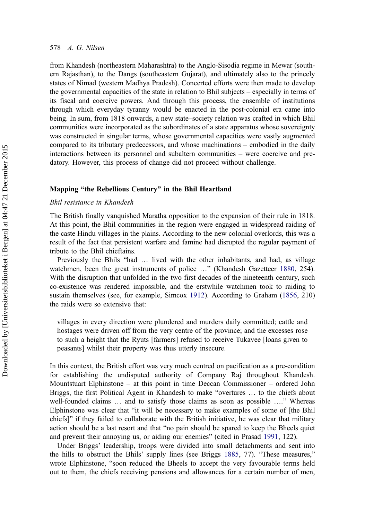from Khandesh (northeastern Maharashtra) to the Anglo-Sisodia regime in Mewar (southern Rajasthan), to the Dangs (southeastern Gujarat), and ultimately also to the princely states of Nimad (western Madhya Pradesh). Concerted efforts were then made to develop the governmental capacities of the state in relation to Bhil subjects – especially in terms of its fiscal and coercive powers. And through this process, the ensemble of institutions through which everyday tyranny would be enacted in the post-colonial era came into being. In sum, from 1818 onwards, a new state–society relation was crafted in which Bhil communities were incorporated as the subordinates of a state apparatus whose sovereignty was constructed in singular terms, whose governmental capacities were vastly augmented compared to its tributary predecessors, and whose machinations – embodied in the daily interactions between its personnel and subaltern communities – were coercive and predatory. However, this process of change did not proceed without challenge.

## Mapping "the Rebellious Century" in the Bhil Heartland

## Bhil resistance in Khandesh

The British finally vanquished Maratha opposition to the expansion of their rule in 1818. At this point, the Bhil communities in the region were engaged in widespread raiding of the caste Hindu villages in the plains. According to the new colonial overlords, this was a result of the fact that persistent warfare and famine had disrupted the regular payment of tribute to the Bhil chieftains.

Previously the Bhils "had … lived with the other inhabitants, and had, as village watchmen, been the great instruments of police ..." (Khandesh Gazetteer [1880](#page-21-0), 254). With the disruption that unfolded in the two first decades of the nineteenth century, such co-existence was rendered impossible, and the erstwhile watchmen took to raiding to sustain themselves (see, for example, Simcox [1912\)](#page-21-0). According to Graham ([1856,](#page-20-0) 210) the raids were so extensive that:

villages in every direction were plundered and murders daily committed; cattle and hostages were driven off from the very centre of the province; and the excesses rose to such a height that the Ryuts [farmers] refused to receive Tukavee [loans given to peasants] whilst their property was thus utterly insecure.

In this context, the British effort was very much centred on pacification as a pre-condition for establishing the undisputed authority of Company Raj throughout Khandesh. Mountstuart Elphinstone – at this point in time Deccan Commissioner – ordered John Briggs, the first Political Agent in Khandesh to make "overtures … to the chiefs about well-founded claims … and to satisfy those claims as soon as possible …." Whereas Elphinstone was clear that "it will be necessary to make examples of some of [the Bhil chiefs]" if they failed to collaborate with the British initiative, he was clear that military action should be a last resort and that "no pain should be spared to keep the Bheels quiet and prevent their annoying us, or aiding our enemies" (cited in Prasad [1991](#page-21-0), 122).

Under Briggs' leadership, troops were divided into small detachments and sent into the hills to obstruct the Bhils' supply lines (see Briggs [1885,](#page-20-0) 77). "These measures," wrote Elphinstone, "soon reduced the Bheels to accept the very favourable terms held out to them, the chiefs receiving pensions and allowances for a certain number of men,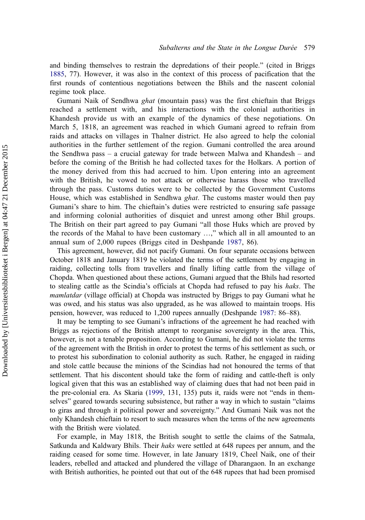and binding themselves to restrain the depredations of their people." (cited in Briggs [1885](#page-20-0), 77). However, it was also in the context of this process of pacification that the first rounds of contentious negotiations between the Bhils and the nascent colonial regime took place.

Gumani Naik of Sendhwa ghat (mountain pass) was the first chieftain that Briggs reached a settlement with, and his interactions with the colonial authorities in Khandesh provide us with an example of the dynamics of these negotiations. On March 5, 1818, an agreement was reached in which Gumani agreed to refrain from raids and attacks on villages in Thalner district. He also agreed to help the colonial authorities in the further settlement of the region. Gumani controlled the area around the Sendhwa pass – a crucial gateway for trade between Malwa and Khandesh – and before the coming of the British he had collected taxes for the Holkars. A portion of the money derived from this had accrued to him. Upon entering into an agreement with the British, he vowed to not attack or otherwise harass those who travelled through the pass. Customs duties were to be collected by the Government Customs House, which was established in Sendhwa *ghat*. The customs master would then pay Gumani's share to him. The chieftain's duties were restricted to ensuring safe passage and informing colonial authorities of disquiet and unrest among other Bhil groups. The British on their part agreed to pay Gumani "all those Huks which are proved by the records of the Mahal to have been customary …," which all in all amounted to an annual sum of 2,000 rupees (Briggs cited in Deshpande [1987](#page-20-0), 86).

This agreement, however, did not pacify Gumani. On four separate occasions between October 1818 and January 1819 he violated the terms of the settlement by engaging in raiding, collecting tolls from travellers and finally lifting cattle from the village of Chopda. When questioned about these actions, Gumani argued that the Bhils had resorted to stealing cattle as the Scindia's officials at Chopda had refused to pay his haks. The mamlatdar (village official) at Chopda was instructed by Briggs to pay Gumani what he was owed, and his status was also upgraded, as he was allowed to maintain troops. His pension, however, was reduced to 1,200 rupees annually (Deshpande [1987:](#page-20-0) 86–88).

It may be tempting to see Gumani's infractions of the agreement he had reached with Briggs as rejections of the British attempt to reorganise sovereignty in the area. This, however, is not a tenable proposition. According to Gumani, he did not violate the terms of the agreement with the British in order to protest the terms of his settlement as such, or to protest his subordination to colonial authority as such. Rather, he engaged in raiding and stole cattle because the minions of the Scindias had not honoured the terms of that settlement. That his discontent should take the form of raiding and cattle-theft is only logical given that this was an established way of claiming dues that had not been paid in the pre-colonial era. As Skaria [\(1999](#page-21-0), 131, 135) puts it, raids were not "ends in themselves" geared towards securing subsistence, but rather a way in which to sustain "claims to giras and through it political power and sovereignty." And Gumani Naik was not the only Khandesh chieftain to resort to such measures when the terms of the new agreements with the British were violated.

For example, in May 1818, the British sought to settle the claims of the Satmala, Satkunda and Kaldwary Bhils. Their haks were settled at 648 rupees per annum, and the raiding ceased for some time. However, in late January 1819, Cheel Naik, one of their leaders, rebelled and attacked and plundered the village of Dharangaon. In an exchange with British authorities, he pointed out that out of the 648 rupees that had been promised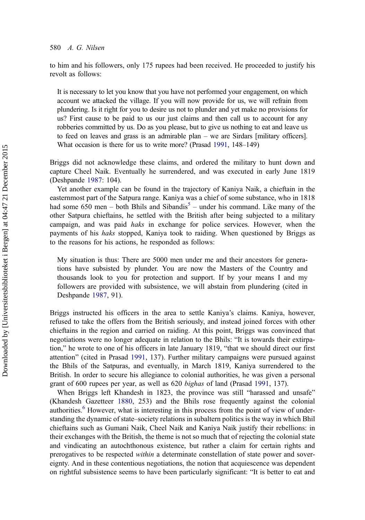## 580 A. G. Nilsen

to him and his followers, only 175 rupees had been received. He proceeded to justify his revolt as follows:

It is necessary to let you know that you have not performed your engagement, on which account we attacked the village. If you will now provide for us, we will refrain from plundering. Is it right for you to desire us not to plunder and yet make no provisions for us? First cause to be paid to us our just claims and then call us to account for any robberies committed by us. Do as you please, but to give us nothing to eat and leave us to feed on leaves and grass is an admirable plan – we are Sirdars [military officers]. What occasion is there for us to write more? (Prasad [1991,](#page-21-0) 148–149)

Briggs did not acknowledge these claims, and ordered the military to hunt down and capture Cheel Naik. Eventually he surrendered, and was executed in early June 1819 (Deshpande [1987:](#page-20-0) 104).

Yet another example can be found in the trajectory of Kaniya Naik, a chieftain in the easternmost part of the Satpura range. Kaniya was a chief of some substance, who in 1818 had some  $650$  $650$  $650$  men – both Bhils and Sibandis<sup>5</sup> – under his command. Like many of the other Satpura chieftains, he settled with the British after being subjected to a military campaign, and was paid haks in exchange for police services. However, when the payments of his haks stopped, Kaniya took to raiding. When questioned by Briggs as to the reasons for his actions, he responded as follows:

My situation is thus: There are 5000 men under me and their ancestors for generations have subsisted by plunder. You are now the Masters of the Country and thousands look to you for protection and support. If by your means I and my followers are provided with subsistence, we will abstain from plundering (cited in Deshpande [1987,](#page-20-0) 91).

Briggs instructed his officers in the area to settle Kaniya's claims. Kaniya, however, refused to take the offers from the British seriously, and instead joined forces with other chieftains in the region and carried on raiding. At this point, Briggs was convinced that negotiations were no longer adequate in relation to the Bhils: "It is towards their extirpation," he wrote to one of his officers in late January 1819, "that we should direct our first attention" (cited in Prasad [1991,](#page-21-0) 137). Further military campaigns were pursued against the Bhils of the Satpuras, and eventually, in March 1819, Kaniya surrendered to the British. In order to secure his allegiance to colonial authorities, he was given a personal grant of 600 rupees per year, as well as 620 bighas of land (Prasad [1991,](#page-21-0) 137).

When Briggs left Khandesh in 1823, the province was still "harassed and unsafe" (Khandesh Gazetteer [1880,](#page-21-0) 253) and the Bhils rose frequently against the colonial authorities.<sup>[6](#page-19-0)</sup> However, what is interesting in this process from the point of view of understanding the dynamic of state–society relations in subaltern politics is the way in which Bhil chieftains such as Gumani Naik, Cheel Naik and Kaniya Naik justify their rebellions: in their exchanges with the British, the theme is not so much that of rejecting the colonial state and vindicating an autochthonous existence, but rather a claim for certain rights and prerogatives to be respected within a determinate constellation of state power and sovereignty. And in these contentious negotiations, the notion that acquiescence was dependent on rightful subsistence seems to have been particularly significant: "It is better to eat and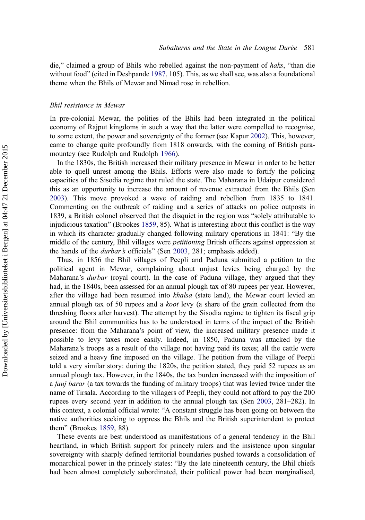die," claimed a group of Bhils who rebelled against the non-payment of haks, "than die without food" (cited in Deshpande [1987,](#page-20-0) 105). This, as we shall see, was also a foundational theme when the Bhils of Mewar and Nimad rose in rebellion.

#### Bhil resistance in Mewar

In pre-colonial Mewar, the polities of the Bhils had been integrated in the political economy of Rajput kingdoms in such a way that the latter were compelled to recognise, to some extent, the power and sovereignty of the former (see Kapur [2002\)](#page-20-0). This, however, came to change quite profoundly from 1818 onwards, with the coming of British paramountcy (see Rudolph and Rudolph [1966](#page-21-0)).

In the 1830s, the British increased their military presence in Mewar in order to be better able to quell unrest among the Bhils. Efforts were also made to fortify the policing capacities of the Sisodia regime that ruled the state. The Maharana in Udaipur considered this as an opportunity to increase the amount of revenue extracted from the Bhils (Sen [2003](#page-21-0)). This move provoked a wave of raiding and rebellion from 1835 to 1841. Commenting on the outbreak of raiding and a series of attacks on police outposts in 1839, a British colonel observed that the disquiet in the region was "solely attributable to injudicious taxation" (Brookes [1859](#page-20-0), 85). What is interesting about this conflict is the way in which its character gradually changed following military operations in 1841: "By the middle of the century, Bhil villages were petitioning British officers against oppression at the hands of the durbar's officials" (Sen [2003](#page-21-0), 281; emphasis added).

Thus, in 1856 the Bhil villages of Peepli and Paduna submitted a petition to the political agent in Mewar, complaining about unjust levies being charged by the Maharana's *durbar* (royal court). In the case of Paduna village, they argued that they had, in the 1840s, been assessed for an annual plough tax of 80 rupees per year. However, after the village had been resumed into *khalsa* (state land), the Mewar court levied an annual plough tax of 50 rupees and a *koot* levy (a share of the grain collected from the threshing floors after harvest). The attempt by the Sisodia regime to tighten its fiscal grip around the Bhil communities has to be understood in terms of the impact of the British presence: from the Maharana's point of view, the increased military presence made it possible to levy taxes more easily. Indeed, in 1850, Paduna was attacked by the Maharana's troops as a result of the village not having paid its taxes; all the cattle were seized and a heavy fine imposed on the village. The petition from the village of Peepli told a very similar story: during the 1820s, the petition stated, they paid 52 rupees as an annual plough tax. However, in the 1840s, the tax burden increased with the imposition of a fauj barar (a tax towards the funding of military troops) that was levied twice under the name of Tirsala. According to the villagers of Peepli, they could not afford to pay the 200 rupees every second year in addition to the annual plough tax (Sen [2003](#page-21-0), 281–282). In this context, a colonial official wrote: "A constant struggle has been going on between the native authorities seeking to oppress the Bhils and the British superintendent to protect them" (Brookes [1859](#page-20-0), 88).

These events are best understood as manifestations of a general tendency in the Bhil heartland, in which British support for princely rulers and the insistence upon singular sovereignty with sharply defined territorial boundaries pushed towards a consolidation of monarchical power in the princely states: "By the late nineteenth century, the Bhil chiefs had been almost completely subordinated, their political power had been marginalised,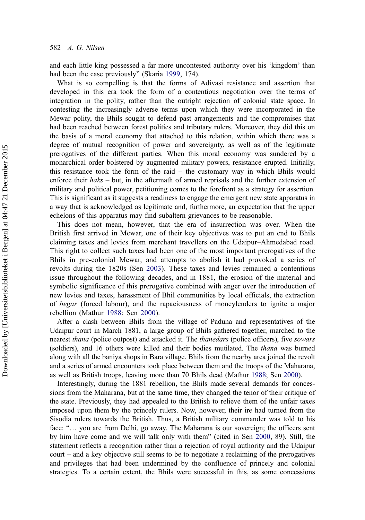and each little king possessed a far more uncontested authority over his 'kingdom' than had been the case previously" (Skaria [1999,](#page-21-0) 174).

What is so compelling is that the forms of Adivasi resistance and assertion that developed in this era took the form of a contentious negotiation over the terms of integration in the polity, rather than the outright rejection of colonial state space. In contesting the increasingly adverse terms upon which they were incorporated in the Mewar polity, the Bhils sought to defend past arrangements and the compromises that had been reached between forest polities and tributary rulers. Moreover, they did this on the basis of a moral economy that attached to this relation, within which there was a degree of mutual recognition of power and sovereignty, as well as of the legitimate prerogatives of the different parties. When this moral economy was sundered by a monarchical order bolstered by augmented military powers, resistance erupted. Initially, this resistance took the form of the raid – the customary way in which Bhils would enforce their  $haks - but$ , in the aftermath of armed reprisals and the further extension of military and political power, petitioning comes to the forefront as a strategy for assertion. This is significant as it suggests a readiness to engage the emergent new state apparatus in a way that is acknowledged as legitimate and, furthermore, an expectation that the upper echelons of this apparatus may find subaltern grievances to be reasonable.

This does not mean, however, that the era of insurrection was over. When the British first arrived in Mewar, one of their key objectives was to put an end to Bhils claiming taxes and levies from merchant travellers on the Udaipur–Ahmedabad road. This right to collect such taxes had been one of the most important prerogatives of the Bhils in pre-colonial Mewar, and attempts to abolish it had provoked a series of revolts during the 1820s (Sen [2003](#page-21-0)). These taxes and levies remained a contentious issue throughout the following decades, and in 1881, the erosion of the material and symbolic significance of this prerogative combined with anger over the introduction of new levies and taxes, harassment of Bhil communities by local officials, the extraction of begar (forced labour), and the rapaciousness of moneylenders to ignite a major rebellion (Mathur [1988](#page-21-0); Sen [2000\)](#page-21-0).

After a clash between Bhils from the village of Paduna and representatives of the Udaipur court in March 1881, a large group of Bhils gathered together, marched to the nearest *thana* (police outpost) and attacked it. The *thanedars* (police officers), five *sowars* (soldiers), and 16 others were killed and their bodies mutilated. The *thana* was burned along with all the baniya shops in Bara village. Bhils from the nearby area joined the revolt and a series of armed encounters took place between them and the troops of the Maharana, as well as British troops, leaving more than 70 Bhils dead (Mathur [1988;](#page-21-0) Sen [2000](#page-21-0)).

Interestingly, during the 1881 rebellion, the Bhils made several demands for concessions from the Maharana, but at the same time, they changed the tenor of their critique of the state. Previously, they had appealed to the British to relieve them of the unfair taxes imposed upon them by the princely rulers. Now, however, their ire had turned from the Sisodia rulers towards the British. Thus, a British military commander was told to his face: "… you are from Delhi, go away. The Maharana is our sovereign; the officers sent by him have come and we will talk only with them" (cited in Sen [2000,](#page-21-0) 89). Still, the statement reflects a recognition rather than a rejection of royal authority and the Udaipur court – and a key objective still seems to be to negotiate a reclaiming of the prerogatives and privileges that had been undermined by the confluence of princely and colonial strategies. To a certain extent, the Bhils were successful in this, as some concessions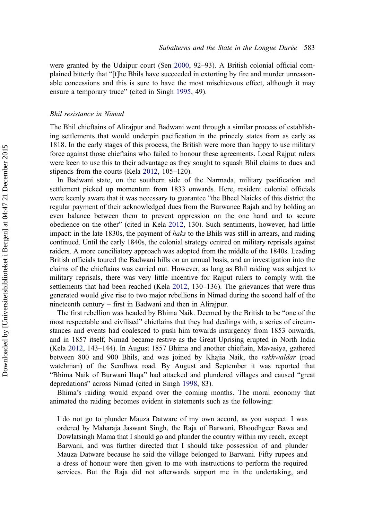were granted by the Udaipur court (Sen [2000,](#page-21-0) 92–93). A British colonial official complained bitterly that "[t]he Bhils have succeeded in extorting by fire and murder unreasonable concessions and this is sure to have the most mischievous effect, although it may ensure a temporary truce" (cited in Singh [1995](#page-21-0), 49).

#### Bhil resistance in Nimad

The Bhil chieftains of Alirajpur and Badwani went through a similar process of establishing settlements that would underpin pacification in the princely states from as early as 1818. In the early stages of this process, the British were more than happy to use military force against those chieftains who failed to honour these agreements. Local Rajput rulers were keen to use this to their advantage as they sought to squash Bhil claims to dues and stipends from the courts (Kela [2012](#page-20-0), 105–120).

In Badwani state, on the southern side of the Narmada, military pacification and settlement picked up momentum from 1833 onwards. Here, resident colonial officials were keenly aware that it was necessary to guarantee "the Bheel Naicks of this district the regular payment of their acknowledged dues from the Burwanee Rajah and by holding an even balance between them to prevent oppression on the one hand and to secure obedience on the other" (cited in Kela [2012](#page-20-0), 130). Such sentiments, however, had little impact: in the late 1830s, the payment of *haks* to the Bhils was still in arrears, and raiding continued. Until the early 1840s, the colonial strategy centred on military reprisals against raiders. A more conciliatory approach was adopted from the middle of the 1840s. Leading British officials toured the Badwani hills on an annual basis, and an investigation into the claims of the chieftains was carried out. However, as long as Bhil raiding was subject to military reprisals, there was very little incentive for Rajput rulers to comply with the settlements that had been reached (Kela [2012](#page-20-0), 130–136). The grievances that were thus generated would give rise to two major rebellions in Nimad during the second half of the nineteenth century – first in Badwani and then in Alirajpur.

The first rebellion was headed by Bhima Naik. Deemed by the British to be "one of the most respectable and civilised" chieftains that they had dealings with, a series of circumstances and events had coalesced to push him towards insurgency from 1853 onwards, and in 1857 itself, Nimad became restive as the Great Uprising erupted in North India (Kela [2012](#page-20-0), 143–144). In August 1857 Bhima and another chieftain, Mavasiya, gathered between 800 and 900 Bhils, and was joined by Khajia Naik, the *rakhwaldar* (road watchman) of the Sendhwa road. By August and September it was reported that "Bhima Naik of Burwani Ilaqa" had attacked and plundered villages and caused "great depredations" across Nimad (cited in Singh [1998,](#page-21-0) 83).

Bhima's raiding would expand over the coming months. The moral economy that animated the raiding becomes evident in statements such as the following:

I do not go to plunder Mauza Datware of my own accord, as you suspect. I was ordered by Maharaja Jaswant Singh, the Raja of Barwani, Bhoodhgeer Bawa and Dowlatsingh Mama that I should go and plunder the country within my reach, except Barwani, and was further directed that I should take possession of and plunder Mauza Datware because he said the village belonged to Barwani. Fifty rupees and a dress of honour were then given to me with instructions to perform the required services. But the Raja did not afterwards support me in the undertaking, and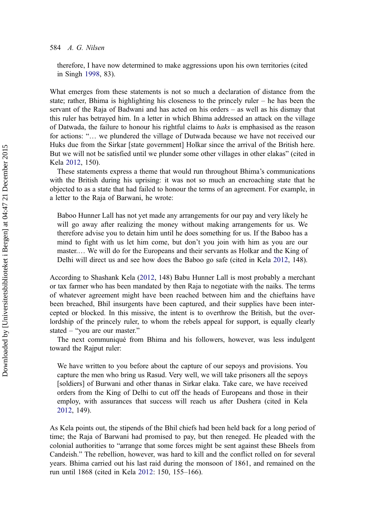## 584 A. G. Nilsen

therefore, I have now determined to make aggressions upon his own territories (cited in Singh [1998,](#page-21-0) 83).

What emerges from these statements is not so much a declaration of distance from the state; rather, Bhima is highlighting his closeness to the princely ruler – he has been the servant of the Raja of Badwani and has acted on his orders – as well as his dismay that this ruler has betrayed him. In a letter in which Bhima addressed an attack on the village of Datwada, the failure to honour his rightful claims to *haks* is emphasised as the reason for actions: "… we plundered the village of Dutwada because we have not received our Huks due from the Sirkar [state government] Holkar since the arrival of the British here. But we will not be satisfied until we plunder some other villages in other elakas" (cited in Kela [2012](#page-20-0), 150).

These statements express a theme that would run throughout Bhima's communications with the British during his uprising: it was not so much an encroaching state that he objected to as a state that had failed to honour the terms of an agreement. For example, in a letter to the Raja of Barwani, he wrote:

Baboo Hunner Lall has not yet made any arrangements for our pay and very likely he will go away after realizing the money without making arrangements for us. We therefore advise you to detain him until he does something for us. If the Baboo has a mind to fight with us let him come, but don't you join with him as you are our master.… We will do for the Europeans and their servants as Holkar and the King of Delhi will direct us and see how does the Baboo go safe (cited in Kela [2012,](#page-20-0) 148).

According to Shashank Kela ([2012,](#page-20-0) 148) Babu Hunner Lall is most probably a merchant or tax farmer who has been mandated by then Raja to negotiate with the naiks. The terms of whatever agreement might have been reached between him and the chieftains have been breached, Bhil insurgents have been captured, and their supplies have been intercepted or blocked. In this missive, the intent is to overthrow the British, but the overlordship of the princely ruler, to whom the rebels appeal for support, is equally clearly stated – "you are our master."

The next communiqué from Bhima and his followers, however, was less indulgent toward the Rajput ruler:

We have written to you before about the capture of our sepoys and provisions. You capture the men who bring us Rasud. Very well, we will take prisoners all the sepoys [soldiers] of Burwani and other thanas in Sirkar elaka. Take care, we have received orders from the King of Delhi to cut off the heads of Europeans and those in their employ, with assurances that success will reach us after Dushera (cited in Kela [2012](#page-20-0), 149).

As Kela points out, the stipends of the Bhil chiefs had been held back for a long period of time; the Raja of Barwani had promised to pay, but then reneged. He pleaded with the colonial authorities to "arrange that some forces might be sent against these Bheels from Candeish." The rebellion, however, was hard to kill and the conflict rolled on for several years. Bhima carried out his last raid during the monsoon of 1861, and remained on the run until 1868 (cited in Kela [2012:](#page-20-0) 150, 155–166).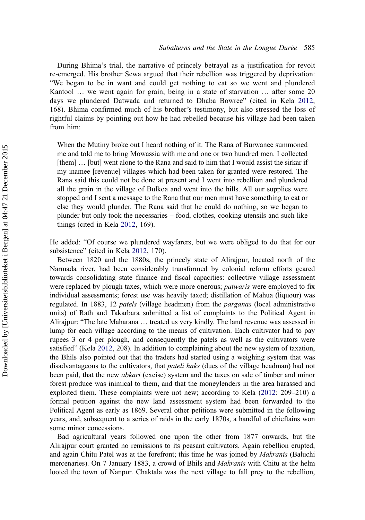During Bhima's trial, the narrative of princely betrayal as a justification for revolt re-emerged. His brother Sewa argued that their rebellion was triggered by deprivation: "We began to be in want and could get nothing to eat so we went and plundered Kantool … we went again for grain, being in a state of starvation … after some 20 days we plundered Datwada and returned to Dhaba Bowree" (cited in Kela [2012](#page-20-0), 168). Bhima confirmed much of his brother's testimony, but also stressed the loss of rightful claims by pointing out how he had rebelled because his village had been taken from him:

When the Mutiny broke out I heard nothing of it. The Rana of Burwanee summoned me and told me to bring Mowassia with me and one or two hundred men. I collected [them] … [but] went alone to the Rana and said to him that I would assist the sirkar if my inamee [revenue] villages which had been taken for granted were restored. The Rana said this could not be done at present and I went into rebellion and plundered all the grain in the village of Bulkoa and went into the hills. All our supplies were stopped and I sent a message to the Rana that our men must have something to eat or else they would plunder. The Rana said that he could do nothing, so we began to plunder but only took the necessaries – food, clothes, cooking utensils and such like things (cited in Kela [2012](#page-20-0), 169).

He added: "Of course we plundered wayfarers, but we were obliged to do that for our subsistence" (cited in Kela [2012](#page-20-0), 170).

Between 1820 and the 1880s, the princely state of Alirajpur, located north of the Narmada river, had been considerably transformed by colonial reform efforts geared towards consolidating state finance and fiscal capacities: collective village assessment were replaced by plough taxes, which were more onerous; *patwaris* were employed to fix individual assessments; forest use was heavily taxed; distillation of Mahua (liquour) was regulated. In 1883, 12 *patels* (village headmen) from the *parganas* (local administrative units) of Rath and Takarbara submitted a list of complaints to the Political Agent in Alirajpur: "The late Maharana … treated us very kindly. The land revenue was assessed in lump for each village according to the means of cultivation. Each cultivator had to pay rupees 3 or 4 per plough, and consequently the patels as well as the cultivators were satisfied" (Kela [2012](#page-20-0), 208). In addition to complaining about the new system of taxation, the Bhils also pointed out that the traders had started using a weighing system that was disadvantageous to the cultivators, that *pateli haks* (dues of the village headman) had not been paid, that the new *abkari* (excise) system and the taxes on sale of timber and minor forest produce was inimical to them, and that the moneylenders in the area harassed and exploited them. These complaints were not new; according to Kela ([2012:](#page-20-0) 209–210) a formal petition against the new land assessment system had been forwarded to the Political Agent as early as 1869. Several other petitions were submitted in the following years, and, subsequent to a series of raids in the early 1870s, a handful of chieftains won some minor concessions.

Bad agricultural years followed one upon the other from 1877 onwards, but the Alirajpur court granted no remissions to its peasant cultivators. Again rebellion erupted, and again Chitu Patel was at the forefront; this time he was joined by *Makranis* (Baluchi mercenaries). On 7 January 1883, a crowd of Bhils and Makranis with Chitu at the helm looted the town of Nanpur. Chaktala was the next village to fall prey to the rebellion,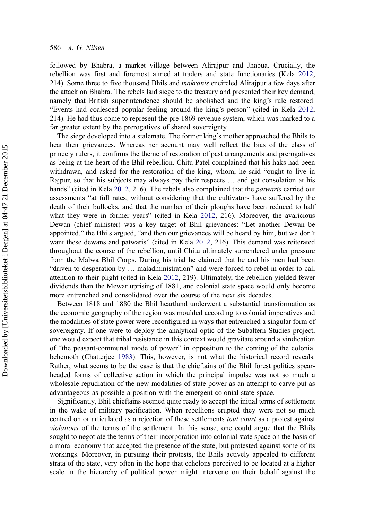followed by Bhabra, a market village between Alirajpur and Jhabua. Crucially, the rebellion was first and foremost aimed at traders and state functionaries (Kela [2012](#page-20-0), 214). Some three to five thousand Bhils and *makranis* encircled Alirajpur a few days after the attack on Bhabra. The rebels laid siege to the treasury and presented their key demand, namely that British superintendence should be abolished and the king's rule restored: "Events had coalesced popular feeling around the king's person" (cited in Kela [2012](#page-20-0), 214). He had thus come to represent the pre-1869 revenue system, which was marked to a far greater extent by the prerogatives of shared sovereignty.

The siege developed into a stalemate. The former king's mother approached the Bhils to hear their grievances. Whereas her account may well reflect the bias of the class of princely rulers, it confirms the theme of restoration of past arrangements and prerogatives as being at the heart of the Bhil rebellion. Chitu Patel complained that his haks had been withdrawn, and asked for the restoration of the king, whom, he said "ought to live in Rajpur, so that his subjects may always pay their respects … and get consolation at his hands" (cited in Kela [2012,](#page-20-0) 216). The rebels also complained that the *patwaris* carried out assessments "at full rates, without considering that the cultivators have suffered by the death of their bullocks, and that the number of their ploughs have been reduced to half what they were in former years" (cited in Kela [2012](#page-20-0), 216). Moreover, the avaricious Dewan (chief minister) was a key target of Bhil grievances: "Let another Dewan be appointed," the Bhils argued, "and then our grievances will be heard by him, but we don't want these dewans and patwaris" (cited in Kela [2012](#page-20-0), 216). This demand was reiterated throughout the course of the rebellion, until Chitu ultimately surrendered under pressure from the Malwa Bhil Corps. During his trial he claimed that he and his men had been "driven to desperation by … maladministration" and were forced to rebel in order to call attention to their plight (cited in Kela [2012](#page-20-0), 219). Ultimately, the rebellion yielded fewer dividends than the Mewar uprising of 1881, and colonial state space would only become more entrenched and consolidated over the course of the next six decades.

Between 1818 and 1880 the Bhil heartland underwent a substantial transformation as the economic geography of the region was moulded according to colonial imperatives and the modalities of state power were reconfigured in ways that entrenched a singular form of sovereignty. If one were to deploy the analytical optic of the Subaltern Studies project, one would expect that tribal resistance in this context would gravitate around a vindication of "the peasant-communal mode of power" in opposition to the coming of the colonial behemoth (Chatterjee [1983](#page-20-0)). This, however, is not what the historical record reveals. Rather, what seems to be the case is that the chieftains of the Bhil forest polities spearheaded forms of collective action in which the principal impulse was not so much a wholesale repudiation of the new modalities of state power as an attempt to carve put as advantageous as possible a position with the emergent colonial state space.

Significantly, Bhil chieftains seemed quite ready to accept the initial terms of settlement in the wake of military pacification. When rebellions erupted they were not so much centred on or articulated as a rejection of these settlements *tout court* as a protest against violations of the terms of the settlement. In this sense, one could argue that the Bhils sought to negotiate the terms of their incorporation into colonial state space on the basis of a moral economy that accepted the presence of the state, but protested against some of its workings. Moreover, in pursuing their protests, the Bhils actively appealed to different strata of the state, very often in the hope that echelons perceived to be located at a higher scale in the hierarchy of political power might intervene on their behalf against the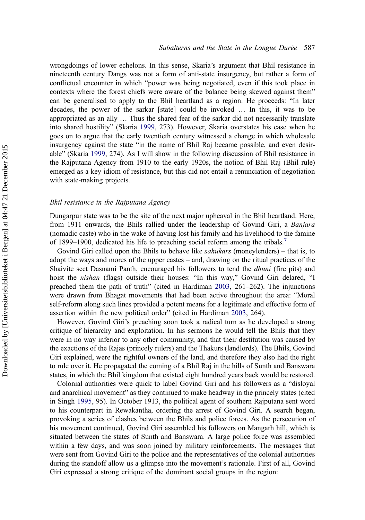wrongdoings of lower echelons. In this sense, Skaria's argument that Bhil resistance in nineteenth century Dangs was not a form of anti-state insurgency, but rather a form of conflictual encounter in which "power was being negotiated, even if this took place in contexts where the forest chiefs were aware of the balance being skewed against them" can be generalised to apply to the Bhil heartland as a region. He proceeds: "In later decades, the power of the sarkar [state] could be invoked … In this, it was to be appropriated as an ally … Thus the shared fear of the sarkar did not necessarily translate into shared hostility" (Skaria [1999](#page-21-0), 273). However, Skaria overstates his case when he goes on to argue that the early twentieth century witnessed a change in which wholesale insurgency against the state "in the name of Bhil Raj became possible, and even desirable" (Skaria [1999](#page-21-0), 274). As I will show in the following discussion of Bhil resistance in the Rajputana Agency from 1910 to the early 1920s, the notion of Bhil Raj (Bhil rule) emerged as a key idiom of resistance, but this did not entail a renunciation of negotiation with state-making projects.

## Bhil resistance in the Rajputana Agency

Dungarpur state was to be the site of the next major upheaval in the Bhil heartland. Here, from 1911 onwards, the Bhils rallied under the leadership of Govind Giri, a Banjara (nomadic caste) who in the wake of having lost his family and his livelihood to the famine of 1899–1900, dedicated his life to preaching social reform among the tribals.<sup>[7](#page-20-0)</sup>

Govind Giri called upon the Bhils to behave like *sahukars* (moneylenders) – that is, to adopt the ways and mores of the upper castes – and, drawing on the ritual practices of the Shaivite sect Dasnami Panth, encouraged his followers to tend the *dhuni* (fire pits) and hoist the nishan (flags) outside their houses: "In this way," Govind Giri delared, "I preached them the path of truth" (cited in Hardiman [2003,](#page-20-0) 261–262). The injunctions were drawn from Bhagat movements that had been active throughout the area: "Moral self-reform along such lines provided a potent means for a legitimate and effective form of assertion within the new political order" (cited in Hardiman [2003,](#page-20-0) 264).

However, Govind Giri's preaching soon took a radical turn as he developed a strong critique of hierarchy and exploitation. In his sermons he would tell the Bhils that they were in no way inferior to any other community, and that their destitution was caused by the exactions of the Rajas (princely rulers) and the Thakurs (landlords). The Bhils, Govind Giri explained, were the rightful owners of the land, and therefore they also had the right to rule over it. He propagated the coming of a Bhil Raj in the hills of Sunth and Banswara states, in which the Bhil kingdom that existed eight hundred years back would be restored.

Colonial authorities were quick to label Govind Giri and his followers as a "disloyal and anarchical movement" as they continued to make headway in the princely states (cited in Singh [1995](#page-21-0), 95). In October 1913, the political agent of southern Rajputana sent word to his counterpart in Rewakantha, ordering the arrest of Govind Giri. A search began, provoking a series of clashes between the Bhils and police forces. As the persecution of his movement continued, Govind Giri assembled his followers on Mangarh hill, which is situated between the states of Sunth and Banswara. A large police force was assembled within a few days, and was soon joined by military reinforcements. The messages that were sent from Govind Giri to the police and the representatives of the colonial authorities during the standoff allow us a glimpse into the movement's rationale. First of all, Govind Giri expressed a strong critique of the dominant social groups in the region: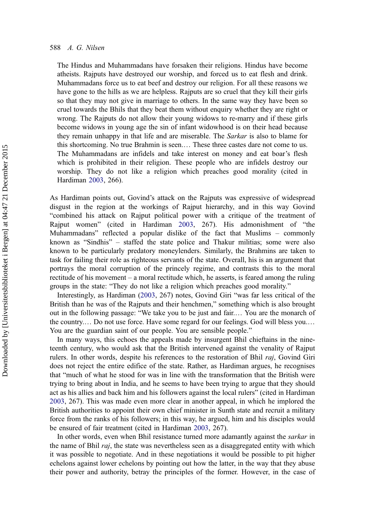The Hindus and Muhammadans have forsaken their religions. Hindus have become atheists. Rajputs have destroyed our worship, and forced us to eat flesh and drink. Muhammadans force us to eat beef and destroy our religion. For all these reasons we have gone to the hills as we are helpless. Rajputs are so cruel that they kill their girls so that they may not give in marriage to others. In the same way they have been so cruel towards the Bhils that they beat them without enquiry whether they are right or wrong. The Rajputs do not allow their young widows to re-marry and if these girls become widows in young age the sin of infant widowhood is on their head because they remain unhappy in that life and are miserable. The Sarkar is also to blame for this shortcoming. No true Brahmin is seen.… These three castes dare not come to us. The Muhammadans are infidels and take interest on money and eat boar's flesh which is prohibited in their religion. These people who are infidels destroy our worship. They do not like a religion which preaches good morality (cited in Hardiman [2003](#page-20-0), 266).

As Hardiman points out, Govind's attack on the Rajputs was expressive of widespread disgust in the region at the workings of Rajput hierarchy, and in this way Govind "combined his attack on Rajput political power with a critique of the treatment of Rajput women" (cited in Hardiman [2003](#page-20-0), 267). His admonishment of "the Muhammadans" reflected a popular dislike of the fact that Muslims – commonly known as "Sindhis" – staffed the state police and Thakur militias; some were also known to be particularly predatory moneylenders. Similarly, the Brahmins are taken to task for failing their role as righteous servants of the state. Overall, his is an argument that portrays the moral corruption of the princely regime, and contrasts this to the moral rectitude of his movement – a moral rectitude which, he asserts, is feared among the ruling groups in the state: "They do not like a religion which preaches good morality."

Interestingly, as Hardiman ([2003,](#page-20-0) 267) notes, Govind Giri "was far less critical of the British than he was of the Rajputs and their henchmen," something which is also brought out in the following passage: "We take you to be just and fair.… You are the monarch of the country.… Do not use force. Have some regard for our feelings. God will bless you.… You are the guardian saint of our people. You are sensible people."

In many ways, this echoes the appeals made by insurgent Bhil chieftains in the nineteenth century, who would ask that the British intervened against the venality of Rajput rulers. In other words, despite his references to the restoration of Bhil raj, Govind Giri does not reject the entire edifice of the state. Rather, as Hardiman argues, he recognises that "much of what he stood for was in line with the transformation that the British were trying to bring about in India, and he seems to have been trying to argue that they should act as his allies and back him and his followers against the local rulers" (cited in Hardiman [2003](#page-20-0), 267). This was made even more clear in another appeal, in which he implored the British authorities to appoint their own chief minister in Sunth state and recruit a military force from the ranks of his followers; in this way, he argued, him and his disciples would be ensured of fair treatment (cited in Hardiman [2003,](#page-20-0) 267).

In other words, even when Bhil resistance turned more adamantly against the *sarkar* in the name of Bhil raj, the state was nevertheless seen as a disaggregated entity with which it was possible to negotiate. And in these negotiations it would be possible to pit higher echelons against lower echelons by pointing out how the latter, in the way that they abuse their power and authority, betray the principles of the former. However, in the case of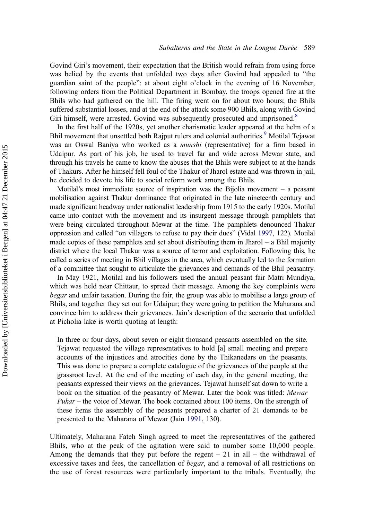Govind Giri's movement, their expectation that the British would refrain from using force was belied by the events that unfolded two days after Govind had appealed to "the guardian saint of the people": at about eight o'clock in the evening of 16 November, following orders from the Political Department in Bombay, the troops opened fire at the Bhils who had gathered on the hill. The firing went on for about two hours; the Bhils suffered substantial losses, and at the end of the attack some 900 Bhils, along with Govind Giri himself, were arrested. Govind was subsequently prosecuted and imprisoned.<sup>[8](#page-20-0)</sup>

In the first half of the 1920s, yet another charismatic leader appeared at the helm of a Bhil movement that unsettled both Rajput rulers and colonial authorities.<sup>[9](#page-20-0)</sup> Motilal Tejawat was an Oswal Baniya who worked as a *munshi* (representative) for a firm based in Udaipur. As part of his job, he used to travel far and wide across Mewar state, and through his travels he came to know the abuses that the Bhils were subject to at the hands of Thakurs. After he himself fell foul of the Thakur of Jharol estate and was thrown in jail, he decided to devote his life to social reform work among the Bhils.

Motilal's most immediate source of inspiration was the Bijolia movement – a peasant mobilisation against Thakur dominance that originated in the late nineteenth century and made significant headway under nationalist leadership from 1915 to the early 1920s. Motilal came into contact with the movement and its insurgent message through pamphlets that were being circulated throughout Mewar at the time. The pamphlets denounced Thakur oppression and called "on villagers to refuse to pay their dues" (Vidal [1997](#page-21-0), 122). Motilal made copies of these pamphlets and set about distributing them in Jharol – a Bhil majority district where the local Thakur was a source of terror and exploitation. Following this, he called a series of meeting in Bhil villages in the area, which eventually led to the formation of a committee that sought to articulate the grievances and demands of the Bhil peasantry.

In May 1921, Motilal and his followers used the annual peasant fair Matri Mundiya, which was held near Chittaur, to spread their message. Among the key complaints were begar and unfair taxation. During the fair, the group was able to mobilise a large group of Bhils, and together they set out for Udaipur; they were going to petition the Maharana and convince him to address their grievances. Jain's description of the scenario that unfolded at Picholia lake is worth quoting at length:

In three or four days, about seven or eight thousand peasants assembled on the site. Tejawat requested the village representatives to hold [a] small meeting and prepare accounts of the injustices and atrocities done by the Thikanedars on the peasants. This was done to prepare a complete catalogue of the grievances of the people at the grassroot level. At the end of the meeting of each day, in the general meeting, the peasants expressed their views on the grievances. Tejawat himself sat down to write a book on the situation of the peasantry of Mewar. Later the book was titled: Mewar Pukar – the voice of Mewar. The book contained about 100 items. On the strength of these items the assembly of the peasants prepared a charter of 21 demands to be presented to the Maharana of Mewar (Jain [1991,](#page-20-0) 130).

Ultimately, Maharana Fateh Singh agreed to meet the representatives of the gathered Bhils, who at the peak of the agitation were said to number some 10,000 people. Among the demands that they put before the regent  $-21$  in all – the withdrawal of excessive taxes and fees, the cancellation of *begar*, and a removal of all restrictions on the use of forest resources were particularly important to the tribals. Eventually, the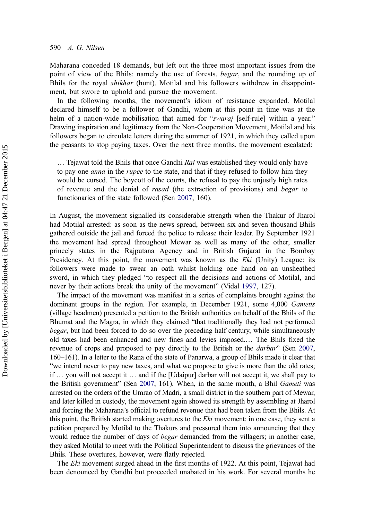Maharana conceded 18 demands, but left out the three most important issues from the point of view of the Bhils: namely the use of forests, begar, and the rounding up of Bhils for the royal shikhar (hunt). Motilal and his followers withdrew in disappointment, but swore to uphold and pursue the movement.

In the following months, the movement's idiom of resistance expanded. Motilal declared himself to be a follower of Gandhi, whom at this point in time was at the helm of a nation-wide mobilisation that aimed for "swaraj [self-rule] within a year." Drawing inspiration and legitimacy from the Non-Cooperation Movement, Motilal and his followers began to circulate letters during the summer of 1921, in which they called upon the peasants to stop paying taxes. Over the next three months, the movement escalated:

 $\ldots$  Tejawat told the Bhils that once Gandhi Raj was established they would only have to pay one *anna* in the *rupee* to the state, and that if they refused to follow him they would be cursed. The boycott of the courts, the refusal to pay the unjustly high rates of revenue and the denial of rasad (the extraction of provisions) and begar to functionaries of the state followed (Sen [2007,](#page-21-0) 160).

In August, the movement signalled its considerable strength when the Thakur of Jharol had Motilal arrested: as soon as the news spread, between six and seven thousand Bhils gathered outside the jail and forced the police to release their leader. By September 1921 the movement had spread throughout Mewar as well as many of the other, smaller princely states in the Rajputana Agency and in British Gujarat in the Bombay Presidency. At this point, the movement was known as the *Eki* (Unity) League: its followers were made to swear an oath whilst holding one hand on an unsheathed sword, in which they pledged "to respect all the decisions and actions of Motilal, and never by their actions break the unity of the movement" (Vidal [1997,](#page-21-0) 127).

The impact of the movement was manifest in a series of complaints brought against the dominant groups in the region. For example, in December 1921, some 4,000 Gametis (village headmen) presented a petition to the British authorities on behalf of the Bhils of the Bhumat and the Magra, in which they claimed "that traditionally they had not performed begar, but had been forced to do so over the preceding half century, while simultaneously old taxes had been enhanced and new fines and levies imposed.… The Bhils fixed the revenue of crops and proposed to pay directly to the British or the *darbar*" (Sen [2007](#page-21-0), 160–161). In a letter to the Rana of the state of Panarwa, a group of Bhils made it clear that "we intend never to pay new taxes, and what we propose to give is more than the old rates; if … you will not accept it … and if the [Udaipur] darbar will not accept it, we shall pay to the British government" (Sen [2007](#page-21-0), 161). When, in the same month, a Bhil Gameti was arrested on the orders of the Umrao of Madri, a small district in the southern part of Mewar, and later killed in custody, the movement again showed its strength by assembling at Jharol and forcing the Maharana's official to refund revenue that had been taken from the Bhils. At this point, the British started making overtures to the Eki movement: in one case, they sent a petition prepared by Motilal to the Thakurs and pressured them into announcing that they would reduce the number of days of *begar* demanded from the villagers; in another case, they asked Motilal to meet with the Political Superintendent to discuss the grievances of the Bhils. These overtures, however, were flatly rejected.

The Eki movement surged ahead in the first months of 1922. At this point, Tejawat had been denounced by Gandhi but proceeded unabated in his work. For several months he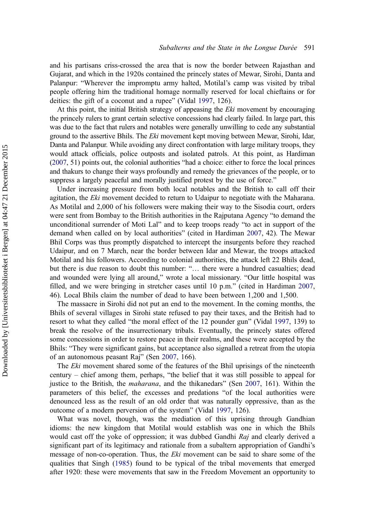and his partisans criss-crossed the area that is now the border between Rajasthan and Gujarat, and which in the 1920s contained the princely states of Mewar, Sirohi, Danta and Palanpur: "Wherever the impromptu army halted, Motilal's camp was visited by tribal people offering him the traditional homage normally reserved for local chieftains or for deities: the gift of a coconut and a rupee" (Vidal [1997,](#page-21-0) 126).

At this point, the initial British strategy of appeasing the Eki movement by encouraging the princely rulers to grant certain selective concessions had clearly failed. In large part, this was due to the fact that rulers and notables were generally unwilling to cede any substantial ground to the assertive Bhils. The Eki movement kept moving between Mewar, Sirohi, Idar, Danta and Palanpur. While avoiding any direct confrontation with large military troops, they would attack officials, police outposts and isolated patrols. At this point, as Hardiman [\(2007,](#page-20-0) 51) points out, the colonial authorities "had a choice: either to force the local princes and thakurs to change their ways profoundly and remedy the grievances of the people, or to suppress a largely peaceful and morally justified protest by the use of force."

Under increasing pressure from both local notables and the British to call off their agitation, the Eki movement decided to return to Udaipur to negotiate with the Maharana. As Motilal and 2,000 of his followers were making their way to the Sisodia court, orders were sent from Bombay to the British authorities in the Rajputana Agency "to demand the unconditional surrender of Moti Lal" and to keep troops ready "to act in support of the demand when called on by local authorities" (cited in Hardiman [2007,](#page-20-0) 42). The Mewar Bhil Corps was thus promptly dispatched to intercept the insurgents before they reached Udaipur, and on 7 March, near the border between Idar and Mewar, the troops attacked Motilal and his followers. According to colonial authorities, the attack left 22 Bhils dead, but there is due reason to doubt this number: "… there were a hundred casualties; dead and wounded were lying all around," wrote a local missionary. "Our little hospital was filled, and we were bringing in stretcher cases until 10 p.m." (cited in Hardiman [2007](#page-20-0), 46). Local Bhils claim the number of dead to have been between 1,200 and 1,500.

The massacre in Sirohi did not put an end to the movement. In the coming months, the Bhils of several villages in Sirohi state refused to pay their taxes, and the British had to resort to what they called "the moral effect of the 12 pounder gun" (Vidal [1997,](#page-21-0) 139) to break the resolve of the insurrectionary tribals. Eventually, the princely states offered some concessions in order to restore peace in their realms, and these were accepted by the Bhils: "They were significant gains, but acceptance also signalled a retreat from the utopia of an autonomous peasant Raj" (Sen [2007,](#page-21-0) 166).

The *Eki* movement shared some of the features of the Bhil uprisings of the nineteenth century – chief among them, perhaps, "the belief that it was still possible to appeal for justice to the British, the maharana, and the thikanedars" (Sen [2007,](#page-21-0) 161). Within the parameters of this belief, the excesses and predations "of the local authorities were denounced less as the result of an old order that was naturally oppressive, than as the outcome of a modern perversion of the system" (Vidal [1997](#page-21-0), 126).

What was novel, though, was the mediation of this uprising through Gandhian idioms: the new kingdom that Motilal would establish was one in which the Bhils would cast off the yoke of oppression; it was dubbed Gandhi Raj and clearly derived a significant part of its legitimacy and rationale from a subaltern appropriation of Gandhi's message of non-co-operation. Thus, the *Eki* movement can be said to share some of the qualities that Singh [\(1985](#page-21-0)) found to be typical of the tribal movements that emerged after 1920: these were movements that saw in the Freedom Movement an opportunity to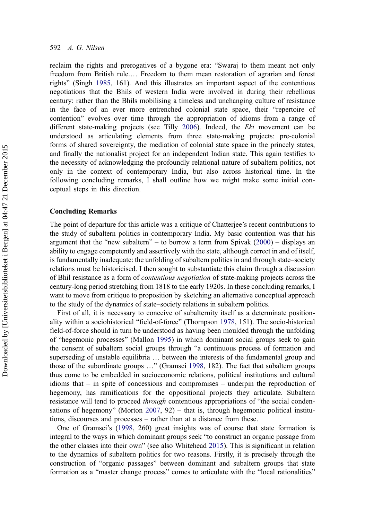reclaim the rights and prerogatives of a bygone era: "Swaraj to them meant not only freedom from British rule.… Freedom to them mean restoration of agrarian and forest rights" (Singh [1985,](#page-21-0) 161). And this illustrates an important aspect of the contentious negotiations that the Bhils of western India were involved in during their rebellious century: rather than the Bhils mobilising a timeless and unchanging culture of resistance in the face of an ever more entrenched colonial state space, their "repertoire of contention" evolves over time through the appropriation of idioms from a range of different state-making projects (see Tilly [2006](#page-21-0)). Indeed, the Eki movement can be understood as articulating elements from three state-making projects: pre-colonial forms of shared sovereignty, the mediation of colonial state space in the princely states, and finally the nationalist project for an independent Indian state. This again testifies to the necessity of acknowledging the profoundly relational nature of subaltern politics, not only in the context of contemporary India, but also across historical time. In the following concluding remarks, I shall outline how we might make some initial conceptual steps in this direction.

## Concluding Remarks

The point of departure for this article was a critique of Chatterjee's recent contributions to the study of subaltern politics in contemporary India. My basic contention was that his argument that the "new subaltern" – to borrow a term from Spivak [\(2000\)](#page-21-0) – displays an ability to engage competently and assertively with the state, although correct in and of itself, is fundamentally inadequate: the unfolding of subaltern politics in and through state–society relations must be historicised. I then sought to substantiate this claim through a discussion of Bhil resistance as a form of contentious negotiation of state-making projects across the century-long period stretching from 1818 to the early 1920s. In these concluding remarks, I want to move from critique to proposition by sketching an alternative conceptual approach to the study of the dynamics of state–society relations in subaltern politics.

First of all, it is necessary to conceive of subalternity itself as a determinate positionality within a sociohistorical "field-of-force" (Thompson [1978](#page-21-0), 151). The socio-historical field-of-force should in turn be understood as having been moulded through the unfolding of "hegemonic processes" (Mallon [1995\)](#page-21-0) in which dominant social groups seek to gain the consent of subaltern social groups through "a continuous process of formation and superseding of unstable equilibria … between the interests of the fundamental group and those of the subordinate groups …" (Gramsci [1998](#page-20-0), 182). The fact that subaltern groups thus come to be embedded in socioeconomic relations, political institutions and cultural idioms that – in spite of concessions and compromises – underpin the reproduction of hegemony, has ramifications for the oppositional projects they articulate. Subaltern resistance will tend to proceed *through* contentious appropriations of "the social condensations of hegemony" (Morton [2007,](#page-21-0) 92) – that is, through hegemonic political institutions, discourses and processes – rather than at a distance from these.

One of Gramsci's [\(1998](#page-20-0), 260) great insights was of course that state formation is integral to the ways in which dominant groups seek "to construct an organic passage from the other classes into their own" (see also Whitehead [2015](#page-21-0)). This is significant in relation to the dynamics of subaltern politics for two reasons. Firstly, it is precisely through the construction of "organic passages" between dominant and subaltern groups that state formation as a "master change process" comes to articulate with the "local rationalities"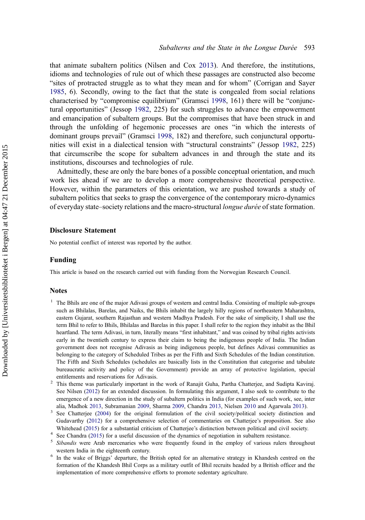<span id="page-19-0"></span>that animate subaltern politics (Nilsen and Cox [2013](#page-21-0)). And therefore, the institutions, idioms and technologies of rule out of which these passages are constructed also become "sites of protracted struggle as to what they mean and for whom" (Corrigan and Sayer [1985](#page-20-0), 6). Secondly, owing to the fact that the state is congealed from social relations characterised by "compromise equilibrium" (Gramsci [1998,](#page-20-0) 161) there will be "conjunctural opportunities" (Jessop [1982,](#page-20-0) 225) for such struggles to advance the empowerment and emancipation of subaltern groups. But the compromises that have been struck in and through the unfolding of hegemonic processes are ones "in which the interests of dominant groups prevail" (Gramsci [1998,](#page-20-0) 182) and therefore, such conjunctural opportunities will exist in a dialectical tension with "structural constraints" (Jessop [1982](#page-20-0), 225) that circumscribe the scope for subaltern advances in and through the state and its institutions, discourses and technologies of rule.

Admittedly, these are only the bare bones of a possible conceptual orientation, and much work lies ahead if we are to develop a more comprehensive theoretical perspective. However, within the parameters of this orientation, we are pushed towards a study of subaltern politics that seeks to grasp the convergence of the contemporary micro-dynamics of everyday state–society relations and the macro-structural longue durée of state formation.

#### Disclosure Statement

No potential conflict of interest was reported by the author.

## Funding

This article is based on the research carried out with funding from the Norwegian Research Council.

#### Notes

- <sup>1</sup> The Bhils are one of the major Adivasi groups of western and central India. Consisting of multiple sub-groups such as Bhilalas, Barelas, and Naiks, the Bhils inhabit the largely hilly regions of northeastern Maharashtra, eastern Gujarat, southern Rajasthan and western Madhya Pradesh. For the sake of simplicity, I shall use the term Bhil to refer to Bhils, Bhilalas and Barelas in this paper. I shall refer to the region they inhabit as the Bhil heartland. The term Adivasi, in turn, literally means "first inhabitant," and was coined by tribal rights activists early in the twentieth century to express their claim to being the indigenous people of India. The Indian government does not recognise Adivasis as being indigenous people, but defines Adivasi communities as belonging to the category of Scheduled Tribes as per the Fifth and Sixth Schedules of the Indian constitution. The Fifth and Sixth Schedules (schedules are basically lists in the Constitution that categorise and tabulate bureaucratic activity and policy of the Government) provide an array of protective legislation, special
- entitlements and reservations for Adivasis. <sup>2</sup> This theme was particularly important in the work of Ranajit Guha, Partha Chatterjee, and Sudipta Kaviraj. See Nilsen [\(2012](#page-21-0)) for an extended discussion. In formulating this argument, I also seek to contribute to the emergence of a new direction in the study of subaltern politics in India (for examples of such work, see, inter
- alia, Madhok [2013](#page-21-0), Subramanian [2009,](#page-21-0) Sharma 2009, Chandra [2013,](#page-20-0) Nielsen [2010](#page-21-0) and Agarwala [2013\)](#page-20-0). See Chatterjee [\(2004](#page-20-0)) for the original formulation of the civil society/political society distinction and Gudavarthy ([2012\)](#page-20-0) for a comprehensive selection of commentaries on Chatterjee's proposition. See also Whitehead ([2015](#page-21-0)) for a substantial criticism of Chatterjee's distinction between political and civil society.<br><sup>4</sup> See Chandra [\(2015](#page-20-0)) for a useful discussion of the dynamics of negotiation in subaltern resistance.<br><sup>5</sup> Siban
- 
- western India in the eighteenth century.<br><sup>6</sup> In the wake of Briggs' departure, the British opted for an alternative strategy in Khandesh centred on the
- formation of the Khandesh Bhil Corps as a military outfit of Bhil recruits headed by a British officer and the implementation of more comprehensive efforts to promote sedentary agriculture.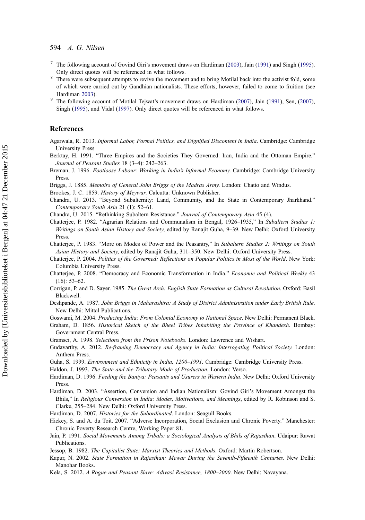## <span id="page-20-0"></span>594 A. G. Nilsen

- <sup>7</sup> The following account of Govind Giri's movement draws on Hardiman (2003), Jain (1991) and Singh ([1995](#page-21-0)).
- Only direct quotes will be referenced in what follows. <sup>8</sup> There were subsequent attempts to revive the movement and to bring Motilal back into the activist fold, some of which were carried out by Gandhian nationalists. These efforts, however, failed to come to fruition (see Hardiman 2003).<br>The following account of Motilal Tejwat's movement draws on Hardiman ([2007](#page-21-0)), Jain (1991), Sen, (2007),
- Singh ([1995\)](#page-21-0), and Vidal [\(1997](#page-21-0)). Only direct quotes will be referenced in what follows.

## References

- Agarwala, R. 2013. Informal Labor, Formal Politics, and Dignified Discontent in India. Cambridge: Cambridge University Press
- Berktay, H. 1991. "Three Empires and the Societies They Governed: Iran, India and the Ottoman Empire." Journal of Peasant Studies 18 (3–4): 242–263.
- Breman, J. 1996. Footloose Labour: Working in India's Informal Economy. Cambridge: Cambridge University Press.
- Briggs, J. 1885. Memoirs of General John Briggs of the Madras Army. London: Chatto and Windus.
- Brookes, J. C. 1859. History of Meywar. Calcutta: Unknown Publisher.
- Chandra, U. 2013. "Beyond Subalternity: Land, Community, and the State in Contemporary Jharkhand." Contemporary South Asia 21 (1): 52–61.
- Chandra, U. 2015. "Rethinking Subaltern Resistance." Journal of Contemporary Asia 45 (4).
- Chatterjee, P. 1982. "Agrarian Relations and Communalism in Bengal, 1926–1935," In Subaltern Studies 1: Writings on South Asian History and Society, edited by Ranajit Guha, 9-39. New Delhi: Oxford University Press.
- Chatterjee, P. 1983. "More on Modes of Power and the Peasantry," In Subaltern Studies 2: Writings on South Asian History and Society, edited by Ranajit Guha, 311–350. New Delhi: Oxford University Press.
- Chatterjee, P. 2004. Politics of the Governed: Reflections on Popular Politics in Most of the World. New York: Columbia University Press.
- Chatterjee, P. 2008. "Democracy and Economic Transformation in India." Economic and Political Weekly 43  $(16): 53-62.$
- Corrigan, P. and D. Sayer. 1985. The Great Arch: English State Formation as Cultural Revolution. Oxford: Basil Blackwell.
- Deshpande, A. 1987. John Briggs in Maharashtra: A Study of District Administration under Early British Rule. New Delhi: Mittal Publications.
- Goswami, M. 2004. Producing India: From Colonial Economy to National Space. New Delhi: Permanent Black.
- Graham, D. 1856. Historical Sketch of the Bheel Tribes Inhabiting the Province of Khandesh. Bombay: Government Central Press.
- Gramsci, A. 1998. Selections from the Prison Notebooks. London: Lawrence and Wishart.
- Gudavarthy, A. 2012. Re-framing Democracy and Agency in India: Interrogating Political Society. London: Anthem Press.
- Guha, S. 1999. Environment and Ethnicity in India, 1200–1991. Cambridge: Cambridge University Press.
- Haldon, J. 1993. The State and the Tributary Mode of Production. London: Verso.
- Hardiman, D. 1996. Feeding the Baniya: Peasants and Usurers in Western India. New Delhi: Oxford University **Press**
- Hardiman, D. 2003. "Assertion, Conversion and Indian Nationalism: Govind Giri's Movement Amongst the Bhils," In Religious Conversion in India: Modes, Motivations, and Meanings, edited by R. Robinson and S. Clarke, 255–284. New Delhi: Oxford University Press.
- Hardiman, D. 2007. Histories for the Subordinated. London: Seagull Books.
- Hickey, S. and A. du Toit. 2007. "Adverse Incorporation, Social Exclusion and Chronic Poverty." Manchester: Chronic Poverty Research Centre, Working Paper 81.
- Jain, P. 1991. Social Movements Among Tribals: a Sociological Analysis of Bhils of Rajasthan. Udaipur: Rawat Publications.
- Jessop, B. 1982. The Capitalist State: Marxist Theories and Methods. Oxford: Martin Robertson.
- Kapur, N. 2002. State Formation in Rajasthan: Mewar During the Seventh-Fifteenth Centuries. New Delhi: Manohar Books.
- Kela, S. 2012. A Rogue and Peasant Slave: Adivasi Resistance, 1800–2000. New Delhi: Navayana.